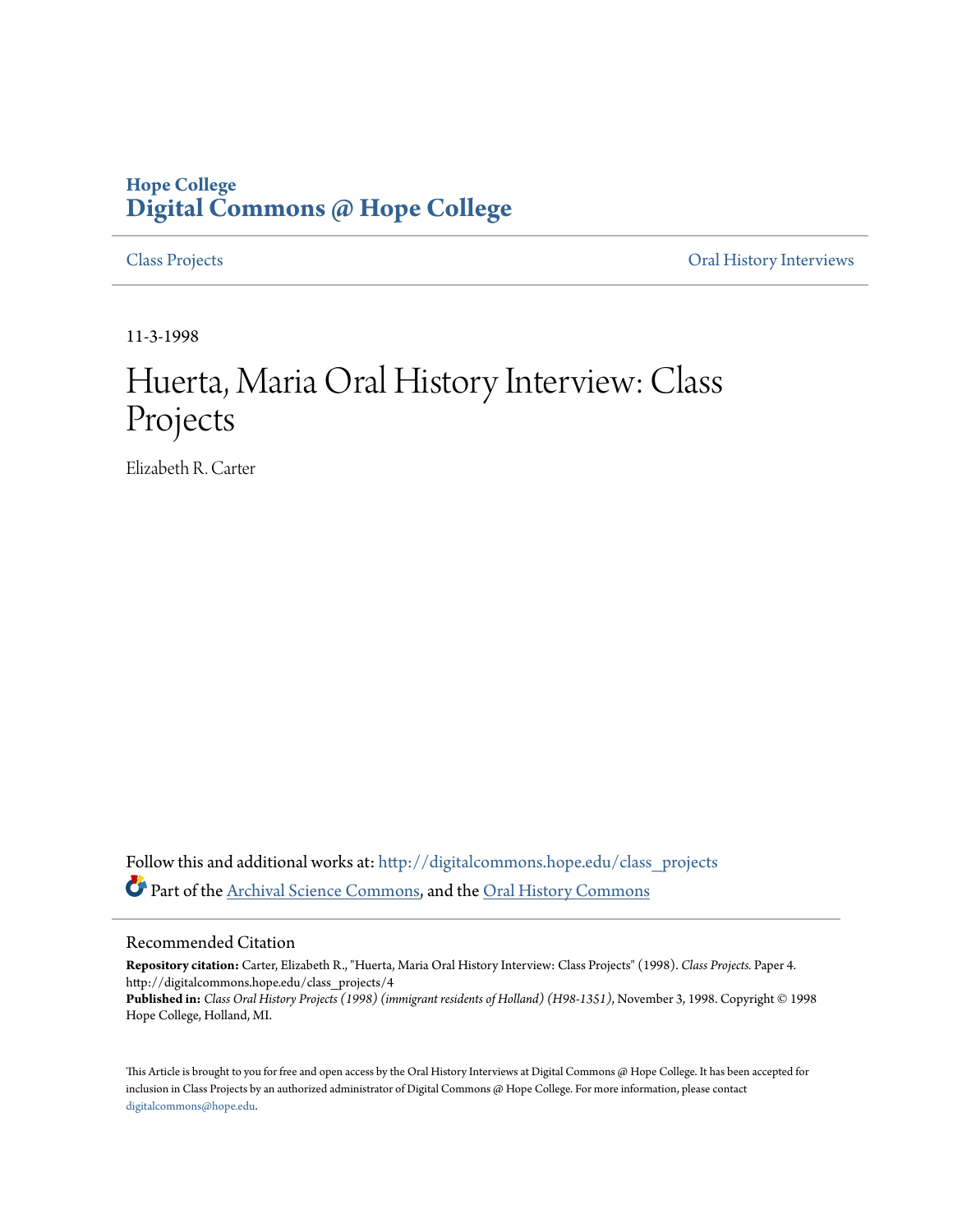## **Hope College [Digital Commons @ Hope College](http://digitalcommons.hope.edu?utm_source=digitalcommons.hope.edu%2Fclass_projects%2F4&utm_medium=PDF&utm_campaign=PDFCoverPages)**

[Class Projects](http://digitalcommons.hope.edu/class_projects?utm_source=digitalcommons.hope.edu%2Fclass_projects%2F4&utm_medium=PDF&utm_campaign=PDFCoverPages) [Oral History Interviews](http://digitalcommons.hope.edu/oral_histories?utm_source=digitalcommons.hope.edu%2Fclass_projects%2F4&utm_medium=PDF&utm_campaign=PDFCoverPages)

11-3-1998

## Huerta, Maria Oral History Interview: Class Projects

Elizabeth R. Carter

Follow this and additional works at: [http://digitalcommons.hope.edu/class\\_projects](http://digitalcommons.hope.edu/class_projects?utm_source=digitalcommons.hope.edu%2Fclass_projects%2F4&utm_medium=PDF&utm_campaign=PDFCoverPages) Part of the [Archival Science Commons,](http://network.bepress.com/hgg/discipline/1021?utm_source=digitalcommons.hope.edu%2Fclass_projects%2F4&utm_medium=PDF&utm_campaign=PDFCoverPages) and the [Oral History Commons](http://network.bepress.com/hgg/discipline/1195?utm_source=digitalcommons.hope.edu%2Fclass_projects%2F4&utm_medium=PDF&utm_campaign=PDFCoverPages)

## Recommended Citation

**Repository citation:** Carter, Elizabeth R., "Huerta, Maria Oral History Interview: Class Projects" (1998). *Class Projects.* Paper 4. http://digitalcommons.hope.edu/class\_projects/4 **Published in:** *Class Oral History Projects (1998) (immigrant residents of Holland) (H98-1351)*, November 3, 1998. Copyright © 1998 Hope College, Holland, MI.

This Article is brought to you for free and open access by the Oral History Interviews at Digital Commons @ Hope College. It has been accepted for inclusion in Class Projects by an authorized administrator of Digital Commons @ Hope College. For more information, please contact [digitalcommons@hope.edu.](mailto:digitalcommons@hope.edu)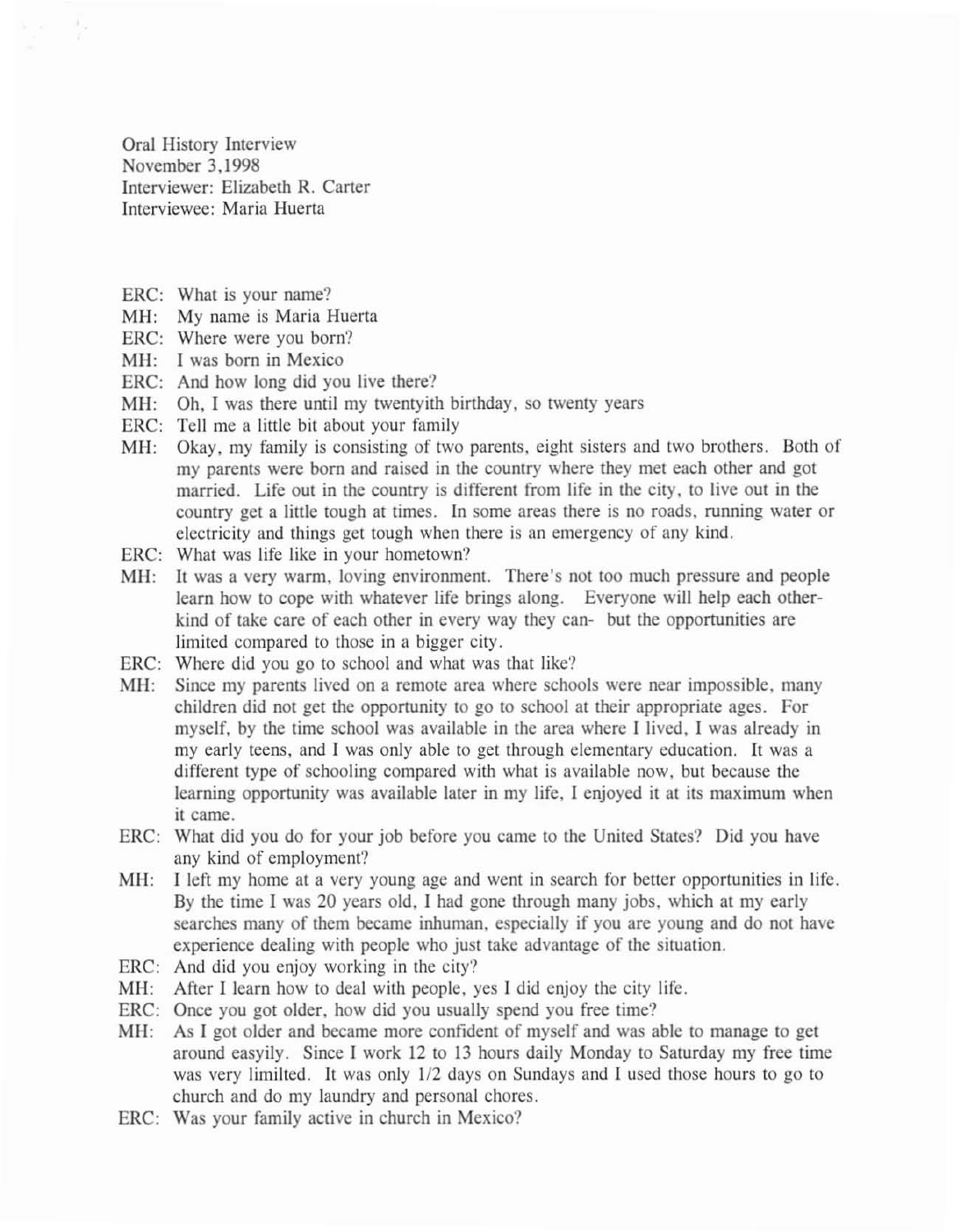Oral History Interview November 3,1998 Interviewer: Elizabeth R. Carter Imerviewee: Maria Huerta

- ERC: What is your name?
- MH: My name is Maria Huerta
- ERC: Where were you born?
- MH: I was born in Mexico
- ERC: And how long did you live there?
- MH: Oh, I was there umil my twemyith birthday, so twenty years
- ERC: Tell me a little bit about your family
- MH: Okay, my family is consisting of two parents, eight sisters and two brothers. Both of my parents were born and raised in the country where they met each other and got married. Life out in the country is differem from life in the city, to live oul in the country get a little tough at times. In some areas there is no roads, running water or electricity and things get tough when there is an emergency of any kind.
- ERC: What was life like in your hometown?
- MH: It was a very warm, loving environment. There's not too much pressure and people learn how to cope with whatever life brings along. Everyone will help each other· kind of take care of each other in every way they can- but the opportunities are limited compared to those in a bigger city.
- ERC: Where did you go to school and what was that like?
- MH: Since my parents lived on a remote area where schools were near impossible, many children did not get the opportunity to go to school at their appropriate ages. For myself, by the time school was available in the area where I lived, I was already in my early teens, and I was only able to get through elementary education. It was a different type of schooling compared with what is available now, but because the learning opportunity was available later in my life, I enjoyed it at its maximum when it came.
- ERC: What did you do for your job before you came to the United States? Did you have any kind of employment?
- MH: I left my home at a very young age and went in search for better opportunities in life. By the time I was 20 years old, I had gone through many jobs, which at my early searches many of them became inhuman, especially if you are young and do not have experience dealing with people who just take advantage of the situation.
- ERC: And did you enjoy working in the city?
- MH: After I learn how to deal with people, yes J did enjoy the city life.
- ERC: Once you got older. how did you usually spend you free time?
- MH: As I got older and became more confident of myself and was able to manage to get around easyily. Since I work 12 to 13 hours daily Monday to Saturday my free time was very limilted. It was only 1/2 days on Sundays and I used those hours to go to church and do my laundry and personal chores.
- ERC: Was your family active in church in Mexico?